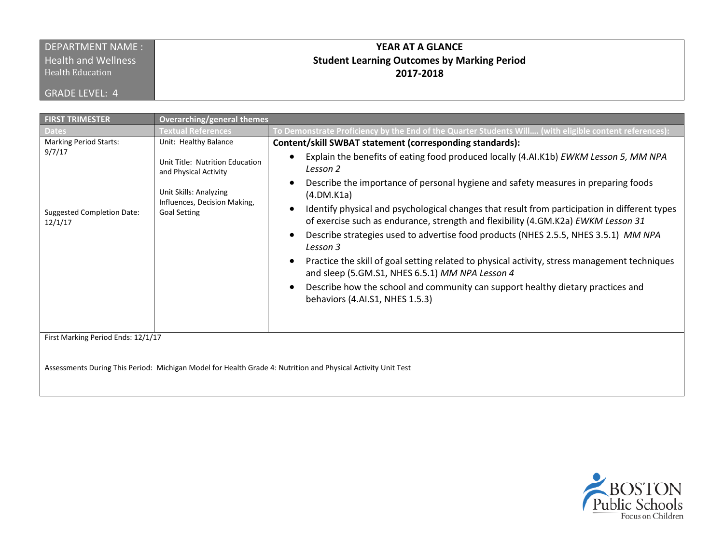## DEPARTMENT NAME : **Health and Wellness**

Health Education

GRADE LEVEL: 4

## **YEAR AT A GLANCE Student Learning Outcomes by Marking Period 2017-2018**

| <b>FIRST TRIMESTER</b>                                                                  | <b>Overarching/general themes</b>                                             |                                                                                                                                                                                                 |
|-----------------------------------------------------------------------------------------|-------------------------------------------------------------------------------|-------------------------------------------------------------------------------------------------------------------------------------------------------------------------------------------------|
| <b>Dates</b>                                                                            | <b>Textual References</b>                                                     | To Demonstrate Proficiency by the End of the Quarter Students Will (with eligible content references)                                                                                           |
| <b>Marking Period Starts:</b><br>9/7/17<br><b>Suggested Completion Date:</b><br>12/1/17 | Unit: Healthy Balance                                                         | Content/skill SWBAT statement (corresponding standards):                                                                                                                                        |
|                                                                                         | Unit Title: Nutrition Education<br>and Physical Activity                      | Explain the benefits of eating food produced locally (4.AI.K1b) EWKM Lesson 5, MM NPA<br>$\bullet$<br>Lesson 2                                                                                  |
|                                                                                         | Unit Skills: Analyzing<br>Influences, Decision Making,<br><b>Goal Setting</b> | Describe the importance of personal hygiene and safety measures in preparing foods<br>(4.DM.K1a)                                                                                                |
|                                                                                         |                                                                               | Identify physical and psychological changes that result from participation in different types<br>$\bullet$<br>of exercise such as endurance, strength and flexibility (4.GM.K2a) EWKM Lesson 31 |
|                                                                                         |                                                                               | Describe strategies used to advertise food products (NHES 2.5.5, NHES 3.5.1) MM NPA<br>$\bullet$<br>Lesson 3                                                                                    |
|                                                                                         |                                                                               | Practice the skill of goal setting related to physical activity, stress management techniques<br>$\bullet$<br>and sleep (5.GM.S1, NHES 6.5.1) MM NPA Lesson 4                                   |
|                                                                                         |                                                                               | Describe how the school and community can support healthy dietary practices and<br>$\bullet$<br>behaviors (4.AI.S1, NHES 1.5.3)                                                                 |
| First Marking Period Ends: 12/1/17                                                      |                                                                               |                                                                                                                                                                                                 |

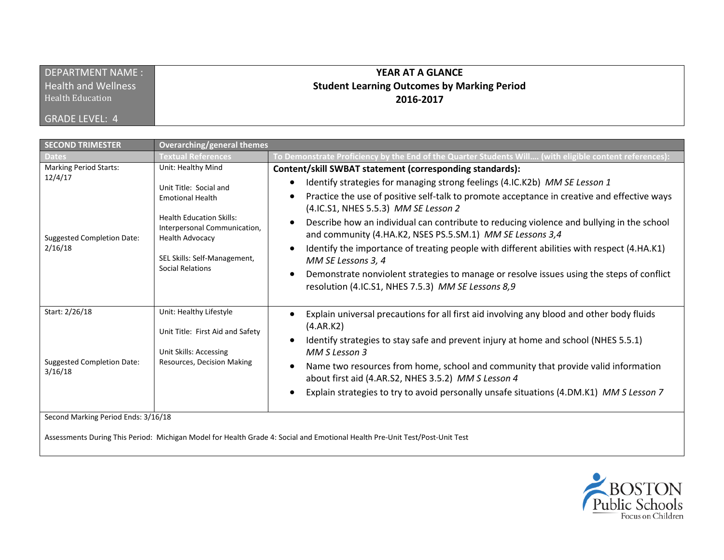| DEPARTMENT NAME:           | YEAR AT A GLANCE                                   |
|----------------------------|----------------------------------------------------|
| <b>Health and Wellness</b> | <b>Student Learning Outcomes by Marking Period</b> |
| Health Education           | 2016-2017                                          |
| GRADE LEVEL: 4             |                                                    |

| <b>SECOND TRIMESTER</b>                                                                  | <b>Overarching/general themes</b>                                                                                                                                                                                        |                                                                                                                                                                                                                                                                                                                                                                                                                                                                                                                                                                                                                                                                                                                                                                    |
|------------------------------------------------------------------------------------------|--------------------------------------------------------------------------------------------------------------------------------------------------------------------------------------------------------------------------|--------------------------------------------------------------------------------------------------------------------------------------------------------------------------------------------------------------------------------------------------------------------------------------------------------------------------------------------------------------------------------------------------------------------------------------------------------------------------------------------------------------------------------------------------------------------------------------------------------------------------------------------------------------------------------------------------------------------------------------------------------------------|
| Dates                                                                                    | Textual References                                                                                                                                                                                                       | To Demonstrate Proficiency by the End of the Quarter Students Will (with eligible content references):                                                                                                                                                                                                                                                                                                                                                                                                                                                                                                                                                                                                                                                             |
| <b>Marking Period Starts:</b><br>12/4/17<br><b>Suggested Completion Date:</b><br>2/16/18 | Unit: Healthy Mind<br>Unit Title: Social and<br><b>Emotional Health</b><br><b>Health Education Skills:</b><br>Interpersonal Communication,<br><b>Health Advocacy</b><br>SEL Skills: Self-Management,<br>Social Relations | Content/skill SWBAT statement (corresponding standards):<br>Identify strategies for managing strong feelings (4.IC.K2b) MM SE Lesson 1<br>$\bullet$<br>Practice the use of positive self-talk to promote acceptance in creative and effective ways<br>$\bullet$<br>(4.IC.S1, NHES 5.5.3) MM SE Lesson 2<br>Describe how an individual can contribute to reducing violence and bullying in the school<br>$\bullet$<br>and community (4.HA.K2, NSES PS.5.SM.1) MM SE Lessons 3,4<br>Identify the importance of treating people with different abilities with respect (4.HA.K1)<br>$\bullet$<br>MM SE Lessons 3, 4<br>Demonstrate nonviolent strategies to manage or resolve issues using the steps of conflict<br>resolution (4.IC.S1, NHES 7.5.3) MM SE Lessons 8,9 |
| Start: 2/26/18<br><b>Suggested Completion Date:</b><br>3/16/18                           | Unit: Healthy Lifestyle<br>Unit Title: First Aid and Safety<br>Unit Skills: Accessing<br>Resources, Decision Making                                                                                                      | Explain universal precautions for all first aid involving any blood and other body fluids<br>$\bullet$<br>(A.AR.K2)<br>Identify strategies to stay safe and prevent injury at home and school (NHES 5.5.1)<br>MM S Lesson 3<br>Name two resources from home, school and community that provide valid information<br>$\bullet$<br>about first aid (4.AR.S2, NHES 3.5.2) MM S Lesson 4<br>Explain strategies to try to avoid personally unsafe situations (4.DM.K1) MM S Lesson 7<br>٠                                                                                                                                                                                                                                                                               |
| Second Marking Period Ends: 3/16/18                                                      |                                                                                                                                                                                                                          |                                                                                                                                                                                                                                                                                                                                                                                                                                                                                                                                                                                                                                                                                                                                                                    |

Assessments During This Period: Michigan Model for Health Grade 4: Social and Emotional Health Pre-Unit Test/Post-Unit Test